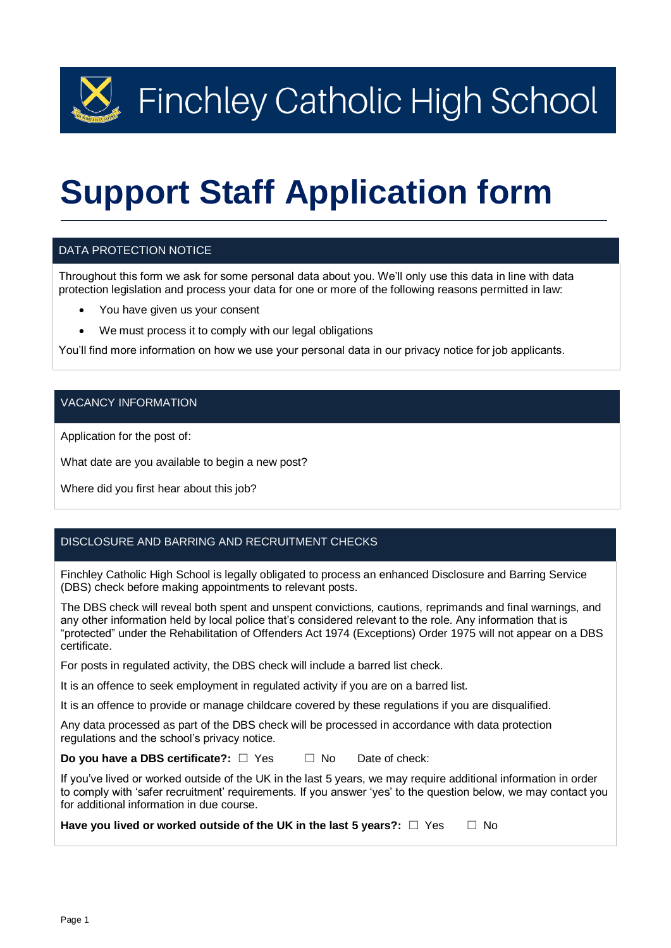$\mathbb{R}$  Finchley Catholic High School

# **Support Staff Application form**

### DATA PROTECTION NOTICE

Throughout this form we ask for some personal data about you. We'll only use this data in line with data protection legislation and process your data for one or more of the following reasons permitted in law:

- You have given us your consent
- We must process it to comply with our legal obligations

You'll find more information on how we use your personal data in our privacy notice for job applicants.

### VACANCY INFORMATION

Application for the post of:

What date are you available to begin a new post?

Where did you first hear about this job?

### DISCLOSURE AND BARRING AND RECRUITMENT CHECKS

Finchley Catholic High School is legally obligated to process an enhanced Disclosure and Barring Service (DBS) check before making appointments to relevant posts.

The DBS check will reveal both spent and unspent convictions, cautions, reprimands and final warnings, and any other information held by local police that's considered relevant to the role. Any information that is "protected" under the Rehabilitation of Offenders Act 1974 (Exceptions) Order 1975 will not appear on a DBS certificate.

For posts in regulated activity, the DBS check will include a barred list check.

It is an offence to seek employment in regulated activity if you are on a barred list.

It is an offence to provide or manage childcare covered by these regulations if you are disqualified.

Any data processed as part of the DBS check will be processed in accordance with data protection regulations and the school's privacy notice.

**Do you have a DBS certificate?:** □ Yes □ No Date of check:

If you've lived or worked outside of the UK in the last 5 years, we may require additional information in order to comply with 'safer recruitment' requirements. If you answer 'yes' to the question below, we may contact you for additional information in due course.

**Have you lived or worked outside of the UK in the last 5 years?:** □ Yes □ No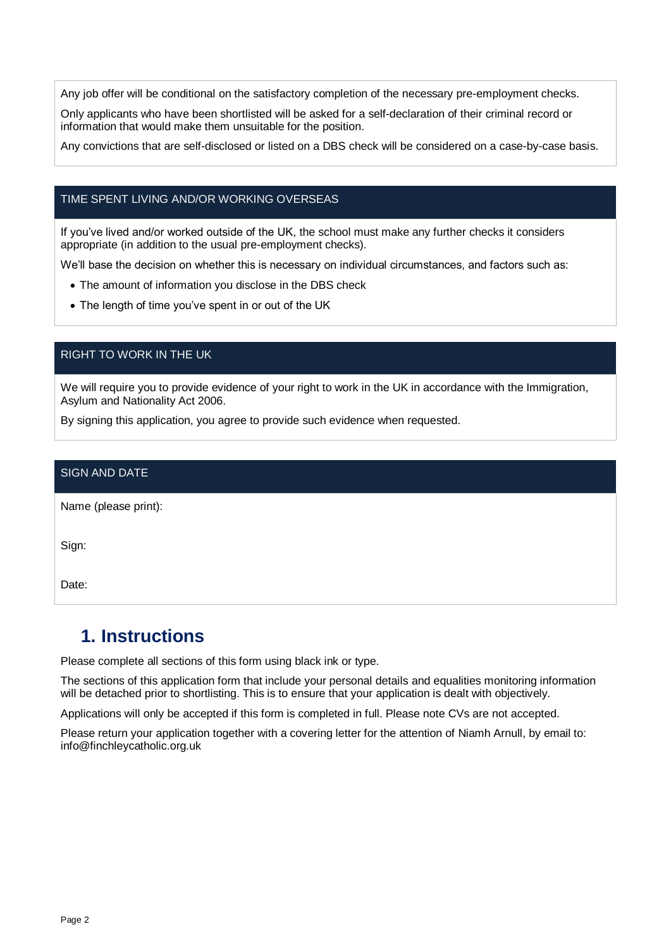Any job offer will be conditional on the satisfactory completion of the necessary pre-employment checks.

Only applicants who have been shortlisted will be asked for a self-declaration of their criminal record or information that would make them unsuitable for the position.

Any convictions that are self-disclosed or listed on a DBS check will be considered on a case-by-case basis.

### TIME SPENT LIVING AND/OR WORKING OVERSEAS

If you've lived and/or worked outside of the UK, the school must make any further checks it considers appropriate (in addition to the usual pre-employment checks).

We'll base the decision on whether this is necessary on individual circumstances, and factors such as:

- The amount of information you disclose in the DBS check
- The length of time you've spent in or out of the UK

### RIGHT TO WORK IN THE UK

We will require you to provide evidence of your right to work in the UK in accordance with the Immigration, Asylum and Nationality Act 2006.

By signing this application, you agree to provide such evidence when requested.

| SIGN AND DATE        |  |
|----------------------|--|
| Name (please print): |  |
| Sign:                |  |
| Date:                |  |

### **1. Instructions**

Please complete all sections of this form using black ink or type.

The sections of this application form that include your personal details and equalities monitoring information will be detached prior to shortlisting. This is to ensure that your application is dealt with objectively.

Applications will only be accepted if this form is completed in full. Please note CVs are not accepted.

Please return your application together with a covering letter for the attention of Niamh Arnull, by email to: info@finchleycatholic.org.uk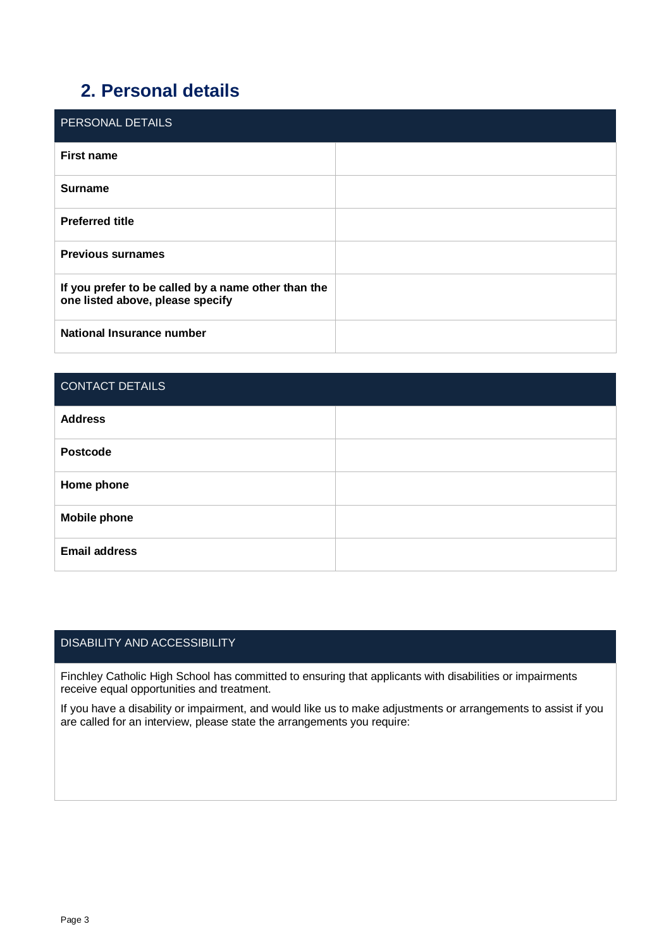# **2. Personal details**

| <b>PERSONAL DETAILS</b>                                                                 |  |
|-----------------------------------------------------------------------------------------|--|
| <b>First name</b>                                                                       |  |
| <b>Surname</b>                                                                          |  |
| <b>Preferred title</b>                                                                  |  |
| <b>Previous surnames</b>                                                                |  |
| If you prefer to be called by a name other than the<br>one listed above, please specify |  |
| National Insurance number                                                               |  |

| <b>CONTACT DETAILS</b> |  |
|------------------------|--|
| <b>Address</b>         |  |
| <b>Postcode</b>        |  |
| Home phone             |  |
| <b>Mobile phone</b>    |  |
| <b>Email address</b>   |  |

### DISABILITY AND ACCESSIBILITY

Finchley Catholic High School has committed to ensuring that applicants with disabilities or impairments receive equal opportunities and treatment.

If you have a disability or impairment, and would like us to make adjustments or arrangements to assist if you are called for an interview, please state the arrangements you require: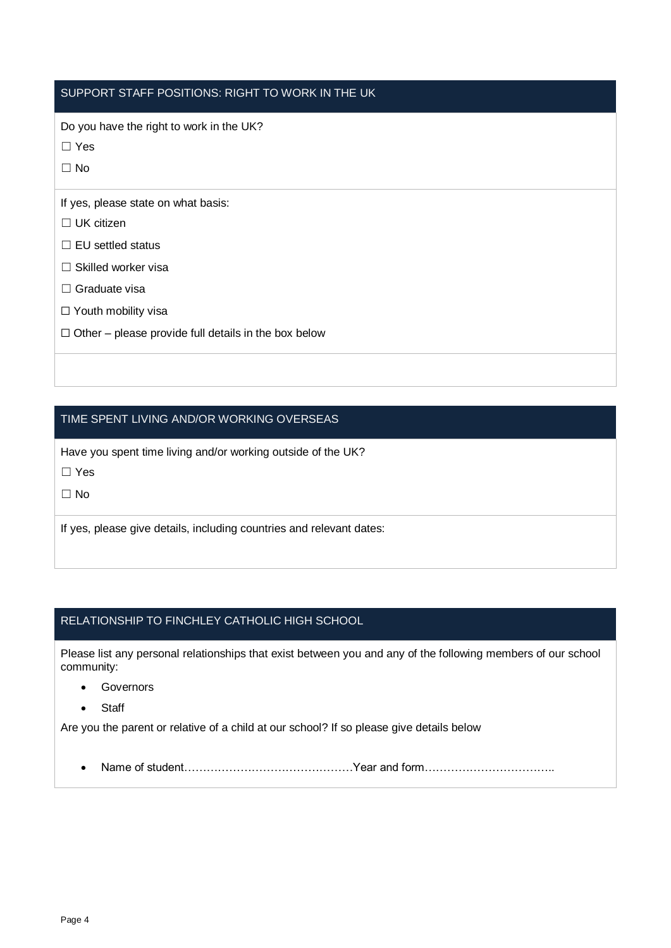### SUPPORT STAFF POSITIONS: RIGHT TO WORK IN THE UK

Do you have the right to work in the UK?

☐ Yes

 $\Box$  No

If yes, please state on what basis:

- ☐ UK citizen
- ☐ EU settled status
- ☐ Skilled worker visa
- □ Graduate visa
- □ Youth mobility visa
- $\Box$  Other please provide full details in the box below

### TIME SPENT LIVING AND/OR WORKING OVERSEAS

Have you spent time living and/or working outside of the UK?

☐ Yes

 $\Box$  No

If yes, please give details, including countries and relevant dates:

### RELATIONSHIP TO FINCHLEY CATHOLIC HIGH SCHOOL

Please list any personal relationships that exist between you and any of the following members of our school community:

- **Governors**
- **Staff**

Are you the parent or relative of a child at our school? If so please give details below

• Name of student………………………………………Year and form……………………………..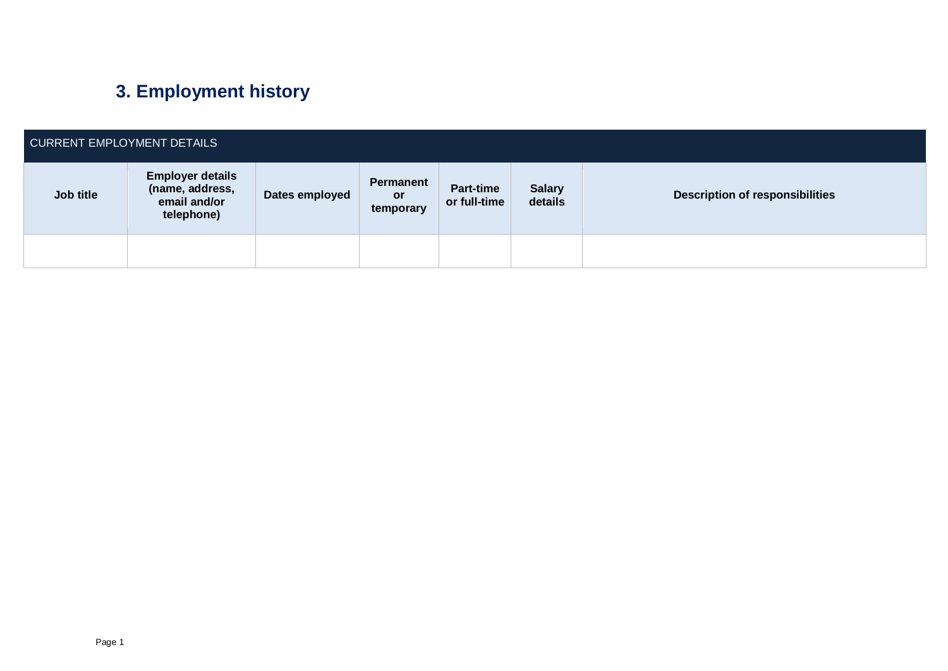# **3. Employment history**

| CURRENT EMPLOYMENT DETAILS |                                                                          |                |                                     |                                  |                          |                                        |
|----------------------------|--------------------------------------------------------------------------|----------------|-------------------------------------|----------------------------------|--------------------------|----------------------------------------|
| Job title                  | <b>Employer details</b><br>(name, address,<br>email and/or<br>telephone) | Dates employed | Permanent<br><b>or</b><br>temporary | <b>Part-time</b><br>or full-time | <b>Salary</b><br>details | <b>Description of responsibilities</b> |
|                            |                                                                          |                |                                     |                                  |                          |                                        |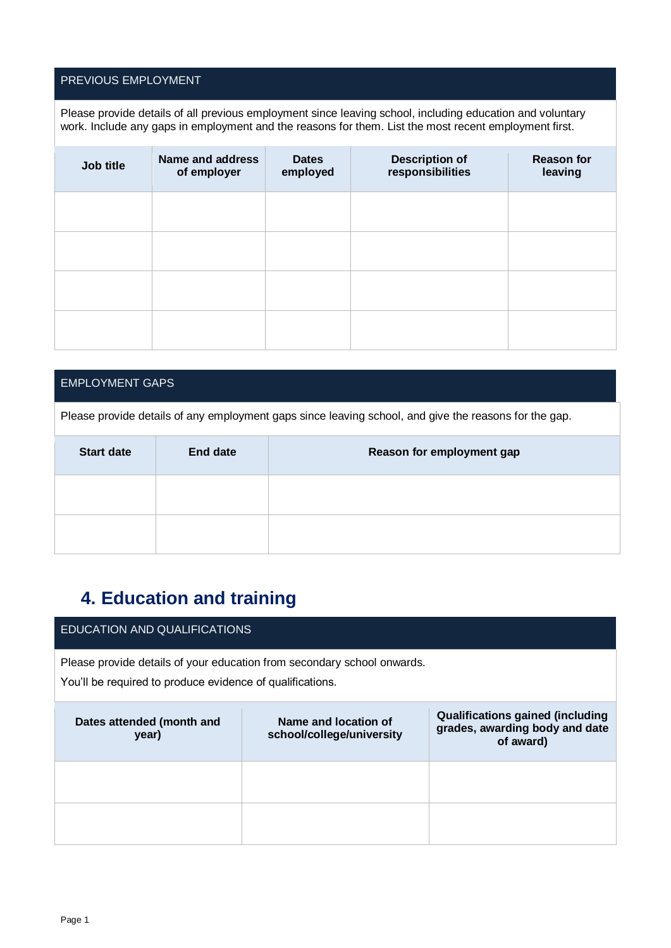### PREVIOUS EMPLOYMENT

Please provide details of all previous employment since leaving school, including education and voluntary work. Include any gaps in employment and the reasons for them. List the most recent employment first.

| Job title | <b>Name and address</b><br>of employer | <b>Dates</b><br>employed | <b>Description of</b><br>responsibilities | <b>Reason for</b><br>leaving |
|-----------|----------------------------------------|--------------------------|-------------------------------------------|------------------------------|
|           |                                        |                          |                                           |                              |
|           |                                        |                          |                                           |                              |
|           |                                        |                          |                                           |                              |
|           |                                        |                          |                                           |                              |

### EMPLOYMENT GAPS

Please provide details of any employment gaps since leaving school, and give the reasons for the gap.

| <b>Start date</b> | <b>End date</b> | Reason for employment gap |
|-------------------|-----------------|---------------------------|
|                   |                 |                           |
|                   |                 |                           |

# **4. Education and training**

### EDUCATION AND QUALIFICATIONS

Please provide details of your education from secondary school onwards.

You'll be required to produce evidence of qualifications.

| Dates attended (month and<br>year) | Name and location of<br>school/college/university | <b>Qualifications gained (including</b><br>grades, awarding body and date<br>of award) |
|------------------------------------|---------------------------------------------------|----------------------------------------------------------------------------------------|
|                                    |                                                   |                                                                                        |
|                                    |                                                   |                                                                                        |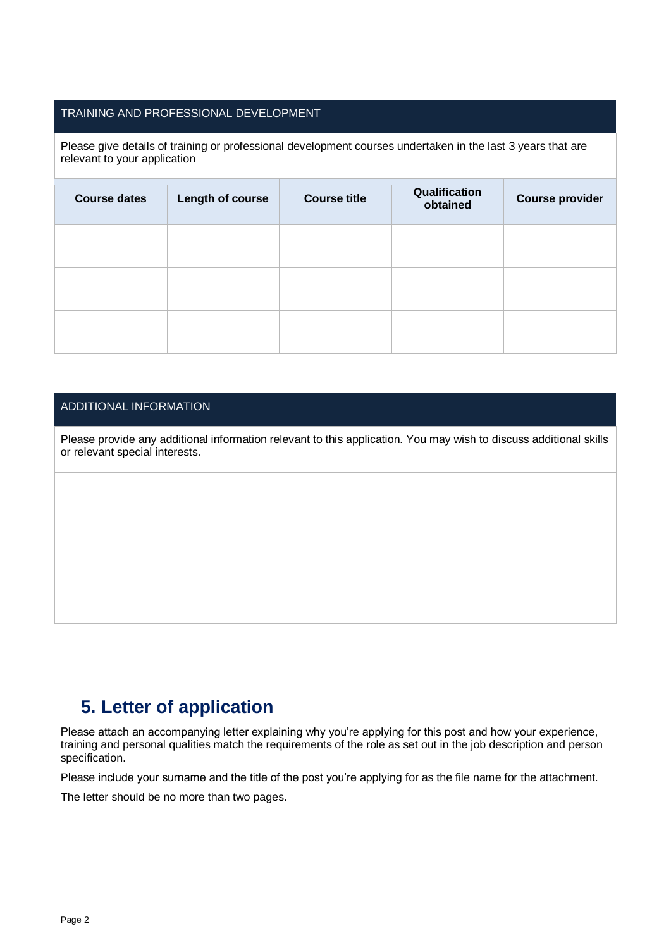### TRAINING AND PROFESSIONAL DEVELOPMENT

Please give details of training or professional development courses undertaken in the last 3 years that are relevant to your application

| <b>Course dates</b> | Length of course | <b>Course title</b> | Qualification<br>obtained | Course provider |
|---------------------|------------------|---------------------|---------------------------|-----------------|
|                     |                  |                     |                           |                 |
|                     |                  |                     |                           |                 |
|                     |                  |                     |                           |                 |

### ADDITIONAL INFORMATION

Please provide any additional information relevant to this application. You may wish to discuss additional skills or relevant special interests.

## **5. Letter of application**

Please attach an accompanying letter explaining why you're applying for this post and how your experience, training and personal qualities match the requirements of the role as set out in the job description and person specification.

Please include your surname and the title of the post you're applying for as the file name for the attachment.

The letter should be no more than two pages.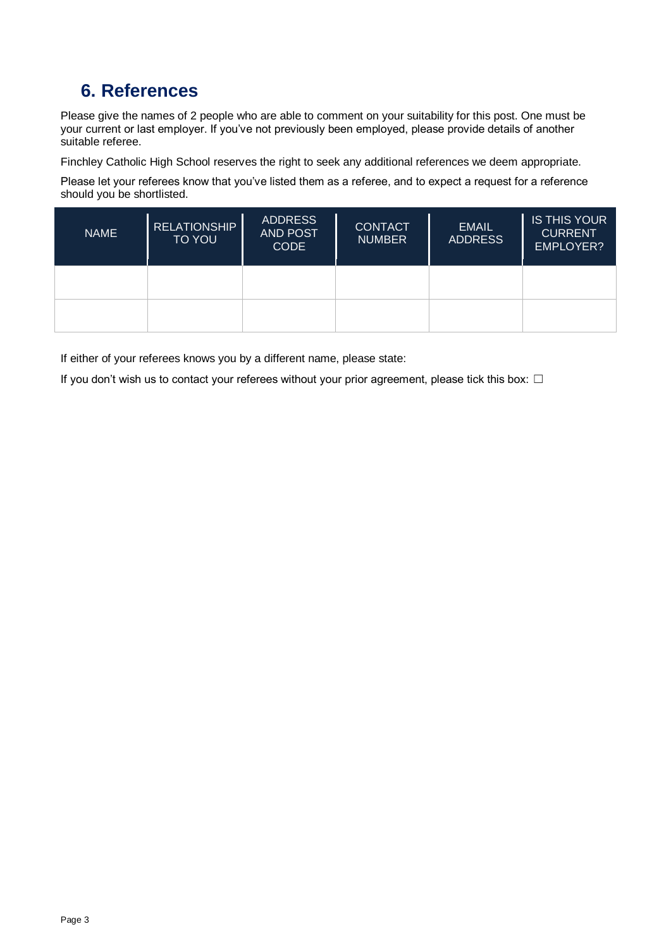# **6. References**

Please give the names of 2 people who are able to comment on your suitability for this post. One must be your current or last employer. If you've not previously been employed, please provide details of another suitable referee.

Finchley Catholic High School reserves the right to seek any additional references we deem appropriate.

Please let your referees know that you've listed them as a referee, and to expect a request for a reference should you be shortlisted.

| <b>NAME</b> | <b>RELATIONSHIP</b><br><b>TO YOU</b> | <b>ADDRESS</b><br><b>AND POST</b><br><b>CODE</b> | <b>CONTACT</b><br><b>NUMBER</b> | <b>EMAIL</b><br><b>ADDRESS</b> | <b>IS THIS YOUR</b><br><b>CURRENT</b><br><b>EMPLOYER?</b> |
|-------------|--------------------------------------|--------------------------------------------------|---------------------------------|--------------------------------|-----------------------------------------------------------|
|             |                                      |                                                  |                                 |                                |                                                           |
|             |                                      |                                                  |                                 |                                |                                                           |

If either of your referees knows you by a different name, please state:

If you don't wish us to contact your referees without your prior agreement, please tick this box:  $\Box$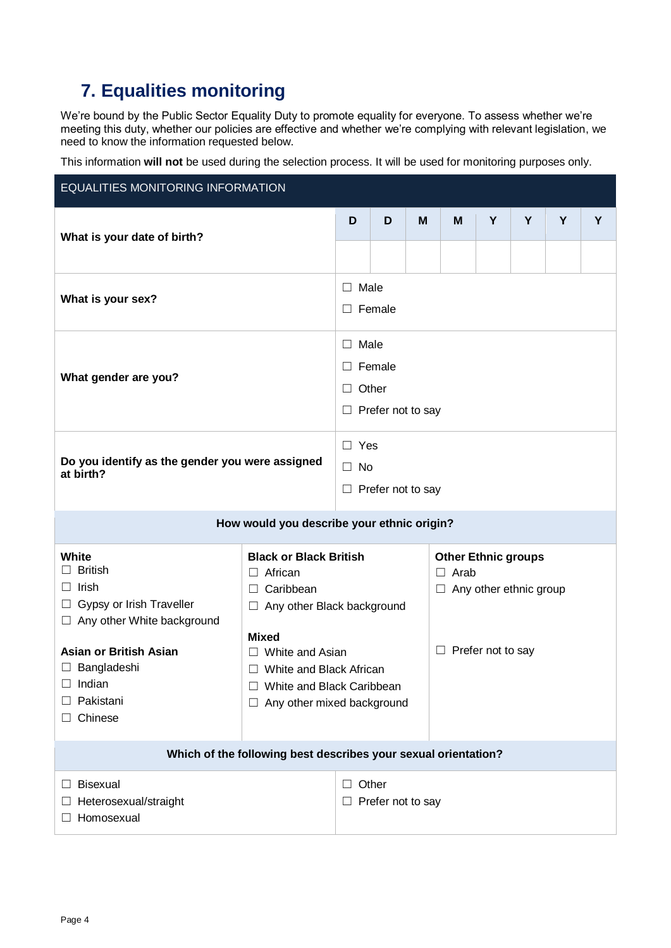# **7. Equalities monitoring**

We're bound by the Public Sector Equality Duty to promote equality for everyone. To assess whether we're meeting this duty, whether our policies are effective and whether we're complying with relevant legislation, we need to know the information requested below.

This information **will not** be used during the selection process. It will be used for monitoring purposes only.

| <b>EQUALITIES MONITORING INFORMATION</b>                                               |                                                                |                                           |                                            |   |                               |   |   |   |   |  |
|----------------------------------------------------------------------------------------|----------------------------------------------------------------|-------------------------------------------|--------------------------------------------|---|-------------------------------|---|---|---|---|--|
| What is your date of birth?                                                            |                                                                | D                                         | D                                          | M | M                             | Y | Y | Y | Y |  |
|                                                                                        |                                                                |                                           |                                            |   |                               |   |   |   |   |  |
| What is your sex?                                                                      |                                                                | Male<br>$\Box$<br>Female<br>$\Box$        |                                            |   |                               |   |   |   |   |  |
|                                                                                        |                                                                | $\perp$                                   | Male                                       |   |                               |   |   |   |   |  |
| What gender are you?                                                                   |                                                                | П.                                        | Female                                     |   |                               |   |   |   |   |  |
|                                                                                        |                                                                | $\perp$                                   | Other                                      |   |                               |   |   |   |   |  |
|                                                                                        |                                                                |                                           | $\Box$ Prefer not to say                   |   |                               |   |   |   |   |  |
|                                                                                        |                                                                | $\Box$ Yes                                |                                            |   |                               |   |   |   |   |  |
| Do you identify as the gender you were assigned<br>at birth?                           |                                                                | $\Box$ No                                 |                                            |   |                               |   |   |   |   |  |
|                                                                                        |                                                                | Prefer not to say<br>⊔                    |                                            |   |                               |   |   |   |   |  |
|                                                                                        |                                                                |                                           |                                            |   |                               |   |   |   |   |  |
|                                                                                        |                                                                |                                           | How would you describe your ethnic origin? |   |                               |   |   |   |   |  |
| White                                                                                  | <b>Black or Black British</b>                                  |                                           |                                            |   | <b>Other Ethnic groups</b>    |   |   |   |   |  |
| <b>British</b><br>Irish                                                                | $\Box$ African<br>$\Box$ Caribbean                             |                                           |                                            |   | Arab<br>П                     |   |   |   |   |  |
| □ Gypsy or Irish Traveller                                                             | $\Box$ Any other Black background                              |                                           |                                            |   | $\Box$ Any other ethnic group |   |   |   |   |  |
| □ Any other White background                                                           |                                                                |                                           |                                            |   |                               |   |   |   |   |  |
| <b>Asian or British Asian</b>                                                          | <b>Mixed</b>                                                   |                                           |                                            |   | $\Box$ Prefer not to say      |   |   |   |   |  |
| $\Box$ Bangladeshi                                                                     | $\Box$ White and Asian<br>$\Box$ White and Black African       |                                           |                                            |   |                               |   |   |   |   |  |
| Indian                                                                                 | White and Black Caribbean<br>П                                 |                                           |                                            |   |                               |   |   |   |   |  |
| Pakistani                                                                              | Any other mixed background<br>ш                                |                                           |                                            |   |                               |   |   |   |   |  |
| Chinese                                                                                |                                                                |                                           |                                            |   |                               |   |   |   |   |  |
|                                                                                        | Which of the following best describes your sexual orientation? |                                           |                                            |   |                               |   |   |   |   |  |
| <b>Bisexual</b><br>$\vert \ \ \vert$<br>Heterosexual/straight<br>Homosexual<br>$\perp$ |                                                                | Other<br>⊔<br>Prefer not to say<br>$\Box$ |                                            |   |                               |   |   |   |   |  |